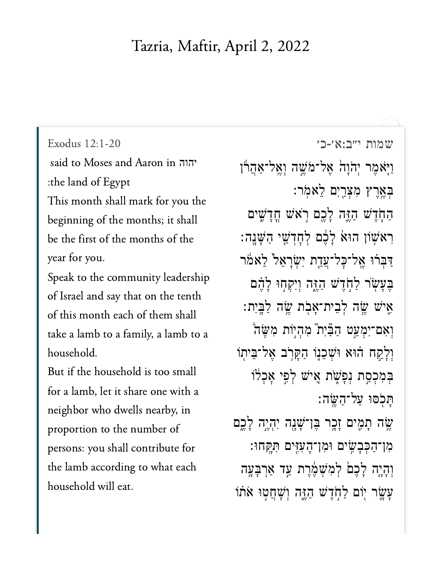## Tazria, Maftir, April 2, 2022

said to Moses and Aaron in יהוה :the land of Egypt

This month shall mark for you the beginning of the months; it shall be the first of the months of the year for you.

Speak to the community leadership of Israel and say that on the tenth of this month each of them shall take a lamb to a family, a lamb to a household.

But if the household is too small for a lamb, let it share one with a neighbor who dwells nearby, in proportion to the number of persons: you shall contribute for the lamb according to what each household will eat.

[שמות י״ב:א׳-כ׳](https://www.sefaria.org/Exodus%2012:1-20) [12:1-20 Exodus](https://www.sefaria.org/Exodus%2012:1-20) ֿוַיָּאֹמֶר יְהֹוָהׂ אֶל־מֹשֶׁה וְאֱל־אַהֲרוֹ בְּאֵרֵץ מִצְרֵיִם לֵאמֹר: הַחְדֵשׁ הַזֶּה לָכֵם רְאֹשׁ חֲדָשִׁים ֿרָאשׁון הוּאֹ לַבֶּם לְחָדְשֵׁי הַשָּׁנֵה ַדְּבְרֹוּ אֱל־כָל־עֲדָת יְשָׂרָאֵל לֵאמֹר בִּעֲשׂר לַחְדֵשׁ הַזֶּה וְיִקְחָוּ לָהֶם ּאֵיֹשׁ שֱׂה לְבֵית־אָבְׂת שֳׂה לַבֲיִת: וְאִם־יִמְעַט הַבְּֿיִת מְהָיוֹת מְשֶׂה וְלָקַח הוֹא וּשָׁכֵנֵו הַקָּרְב אֶל־בֵּיתְוֹ בְּמְכְסֵת נְפַּשָׁת אֵישׁ לְפֵי אֲכָלֹוֹ ָּת ָּכֹסוּ עַל־הַשֱׂה ְשֶׂה תָמֶים זָכֶר בֶּו־שָׁנָה יִהְיֶה לָכֶם ּמְן־הַכְּבַשֵׂים וּמְן־הָעָזֵים תְּקַחוּ:

> וְהָיֶה לָכֶם לְמִשָׁמֶּרֶת עֲד אַרְבָּעֶה ַעֲשֵׂר יְוֹם לַחְדֵשׁ הַזֶּה וְשָׁחֲטְוּ אֹתוֹ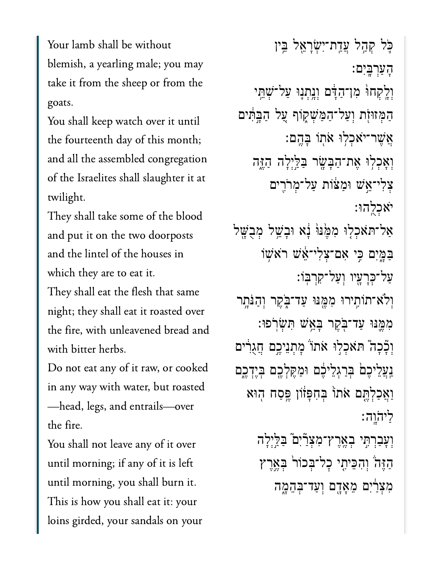Your lamb shall be without blemish, a yearling male; you may take it from the sheep or from the goats.

You shall keep watch over it until the fourteenth day of this month; and all the assembled congregation of the Israelites shall slaughter it at twilight.

They shall take some of the blood and put it on the two doorposts and the lintel of the houses in which they are to eat it.

They shall eat the flesh that same night; they shall eat it roasted over the fire, with unleavened bread and with bitter herbs.

Do not eat any of it raw, or cooked in any way with water, but roasted —head, legs, and entrails—over the fire.

You shall not leave any of it over until morning; if any of it is left until morning, you shall burn it. This is how you shall eat it: your loins girded, your sandals on your

ּכֵּל קְהָל עֲדֵת־יִשְׂרָאֵל בֵּין ָהַעְרָּֽבִים׃ וְלֵקְחוּ מְן־הַדָּ֫ם וְנֵתְנֵוּ עַל־שָׁתֵּ֣י הַמְּזוּזִת וְעַל־הַמַּשְׁקָוֹף עֲל הַבְּתִּים ַאֲשֶׁר־יֹאָכְלִוּ אֹתְוֹ בָּהֱם: וְאָכְלְוּ אֶת־הַבָּשֶׂר בַּלַּיְלָה הַזֶּה ִצְלִי־**ְאֵ**ּשׁ וּמַצּׁוֹת עַל־מְרֹרֵים ֹיאְכֻֽלהּו׃ אַל־תּאֹכְלִוּ מִמֶּּנּוּּ נָא וּבְשֵׁל מְבֻשֶּׁל ַּבְמֵיִם כֵּי אָם־צָלִי־אֵ*ּֽׁשׁ* רֹא*ִשְׁוֹ* ַעל־ְּכָרָ֖עיו ְוַעל־ִקְרּֽבֹו׃ וְלֹא־תוֹתִירוּ מִמֵּנּוּ עַד־בָּקֵר וְהַנִּתָר ִמֶּ֛מּנּו ַעד־ֹּ֖בֶקר ָּבֵ֥אׁש ִּתְׂשֹֽרפּו׃ וִכְּכָה הּאִכְלִוּ אֹתוֹ מְתְנֵיכֶם חֲגֻרִים נַעֲלֵיכֵם ּבְּרֵגְלֵיּכֶם וּמַקֵּלְכֵם בְּיֵדְכֵם וַאֲכָלְתֵּם אֹתוֹ בְּחִפְּזֹון ֱפֵּסַח הִוּא ַלי ֹה ָֽוֹהָֽוה׃ וְעָבִרְתִּי בְאֶרֶץ־מִצְרַיִם בַּלֵּיְלָה הַזֶּהֹ וְהִכֵּיתֵי כָל־בִּכוֹר בִּאֱרֵץ מְצָרַיִם מֵאֲדֶם וְעַד־בְּהֱמֶה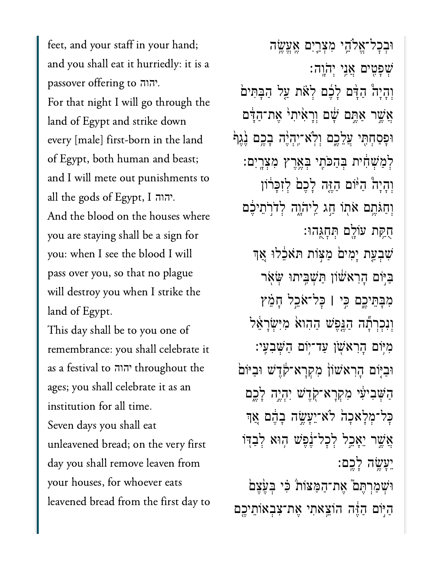feet, and your staff in your hand; and you shall eat it hurriedly: it is a passover offering to ההוה. For that night I will go through the land of Egypt and strike down every [male] first-born in the land of Egypt, both human and beast; and I will mete out punishments to all the gods of Egypt, I ... And the blood on the houses where you are staying shall be a sign for you: when I see the blood I will pass over you, so that no plague will destroy you when I strike the land of Egypt.

This day shall be to you one of remembrance: you shall celebrate it as a festival to יהוה throughout the ages; you shall celebrate it as an institution for all time. Seven days you shall eat unleavened bread; on the very first day you shall remove leaven from your houses, for whoever eats leavened bread from the first day to

וּבִכָּל־אֵלֹהֵי מִצְרֵיִם אֱעֵשֶׂה שִׁפַּטִים אֲנֵי יְהֹוֵה: וְהָיָה הַדָּם לָבֶם לְאֹת עַל הַבָּתִּים אֲשֵׁר אַתֵּם שָׁם וְרָאִ<sup>ׂ</sup>יִתְיֹ אֶת־הַדָּם וּפְסַחְתֵּי עֲלֵכֶם וְלָא־יֶהְיֶה בָכֶם גֶּגֶף לְמַשָׁחָ֫ית בִּהַכֹּתֵי בִּאֲרֵץ מִצְרֵיִם: וְהָיָה הַיוֹּם הַזֶּה לָכֵם לִזְכָּרוֹן וְחַגֹּחֵם אֹתְוֹ חֵג לֵיהֹוֶה לְדֹרְתֵיכֶם חִקֵּת עוֹלֵם תְּחָגֶּהוּ: ּשְׁבְעֲת יָמִיםׂ מַצְוֹת תֹּאלֶלוּ אֲךָ בַּיִּוֹם הַרְאֹשׁוֹן תַּשְׁבֵיתוּ שָׂאָר מִבָּתֵיכֶם כֵּי | כָּל־אֹכֵל חָמֵץ וְנְכְרְתָג הַגֲפֵשׁ הַהְואֹ מִיְשָׂרַאֵל מִיּוֹם הָרָאשׁן עַד־יִוֹם הַשָּׁבְעֵי: וּבִיּֽוֹם הַרְאשׁוֹן מְקְרַא־קֹדֵשׁ וּבִיּוֹם הַשָּׁבִיעִׁי מִקְרָא־קְדֵשׁ יְהָיֵה לָבֵם כַּל־מְלַאכַה לֹא־יֵעָשֵׂה בָהֶם אֲך אֲשֶׁר יֵאֲכֵל לְכָל־נֶׁפֵּשׁ הָוּא לְבָדִוֹ יֵעֲשֶׂה לַכֵּם: וּשִׁמַרְחֵם אֶת־הַמַּצוֹת כִּי בְעָצֵם הַיִּּוֹם הַזֶּה הוֹצֵאתִי אֶת־צִבְאוֹתֵיכֵם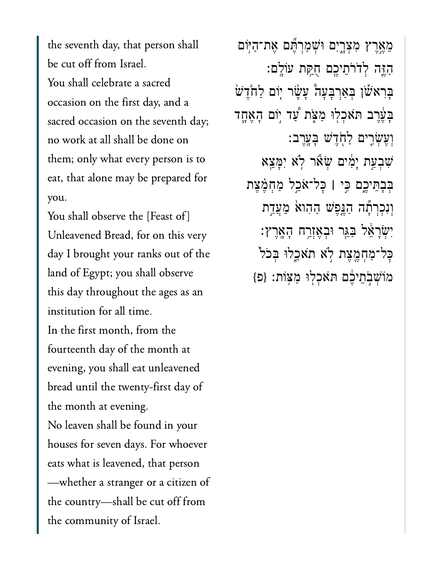the seventh day, that person shall be cut off from Israel. You shall celebrate a sacred occasion on the first day, and a sacred occasion on the seventh day; no work at all shall be done on them; only what every person is to eat, that alone may be prepared for you.

You shall observe the [Feast of] Unleavened Bread, for on this very day I brought your ranks out of the land of Egypt; you shall observe this day throughout the ages as an institution for all time. In the first month, from the fourteenth day of the month at evening, you shall eat unleavened bread until the twenty-first day of the month at evening. No leaven shall be found in your houses for seven days. For whoever eats what is leavened, that person —whether a stranger or a citizen of the country—shall be cut off from the community of Israel.

ֵמֶ֣אֶרץ ִמְצָ֑רִים ּוְׁשַמְרֶּ֞תם ֶאת־ַהּ֥יֹום ַהֶּ֛זה ְלֹדֹרֵתיֶ֖כם ֻחַּ֥קת עֹוָֽלם׃ ַּבְרָא<sup>ָּ</sup>שׁן בְּאַרְבָּעָה עָשָׂר יְוֹם לַחֹדֶשׁ ָבַּעֵרֵב תּאָכְלִוּ מַ<mark></mark>אֲת עַד יִוֹם הָאֶחֱד ְוֶעְׂשִ֛רים ַלֹ֖חֶדׁש ָּבָֽעֶרב׃ ִׁשְבַ֣עת ָיִ֔מים ְׂשֹ֕אר ֹ֥לא ִיָּמֵ֖צא ְּבָבֵּתיֶ֑כם ִּ֣כי **׀** ׇּכל־ֹאֵ֣כל ַמְחֶ֗מֶצת וְנִכְרְתָּה הַגֲפֶשׁ הַהִוא<sup>ָ</sup> מֵעֲדָת יִשְׂרָאֵל בַּגֵּר וּבְאֶזְרַח הָאֲרֶץ: ּכָל־מַחְמֶצֶת לִא תֹאַכֵלוּ בִּכֹל מוֹשָׁבְתֵיִבֶׁם תּאָכְלִוּ מַצְוֹת: {פ